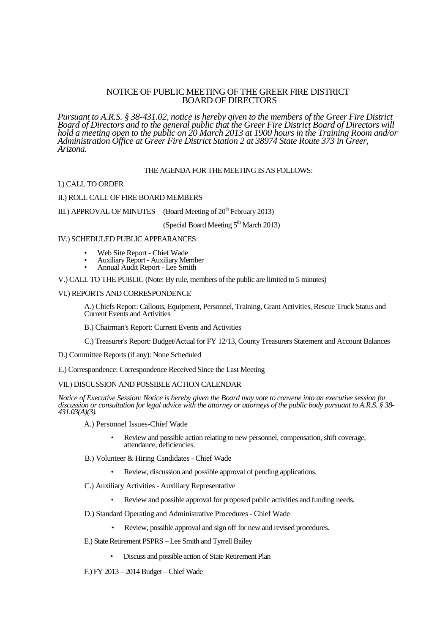# NOTICE OF PUBLIC MEETING OF THE GREER FIRE DISTRICT BOARD OF DIRECTORS

*Pursuant to A.R.S. § 38-431.02, notice is hereby given to the members of the Greer Fire District Board of Directors and to the general public that the Greer Fire District Board of Directors will hold a meeting open to the public on 20 March 2013 at 1900 hours in the Training Room and/or Administration Office at Greer Fire District Station 2 at 38974 State Route 373 in Greer, Arizona.*

## THE AGENDA FOR THE MEETING IS AS FOLLOWS:

## I.) CALL TO ORDER

## II.) ROLL CALL OF FIRE BOARD MEMBERS

III.) APPROVAL OF MINUTES (Board Meeting of  $20^{th}$  February 2013)

(Special Board Meeting  $5<sup>th</sup>$  March 2013)

#### IV.) SCHEDULED PUBLIC APPEARANCES:

- Web Site Report Chief Wade
- Auxiliary Report Auxiliary Member
- Annual Audit Report Lee Smith

V.) CALL TO THE PUBLIC (Note: By rule, members of the public are limited to 5 minutes)

#### VI.) REPORTS AND CORRESPONDENCE

A.) Chiefs Report: Callouts, Equipment, Personnel, Training, Grant Activities, Rescue Truck Status and Current Events and Activities

B.) Chairman's Report: Current Events and Activities

C.) Treasurer's Report: Budget/Actual for FY 12/13, County Treasurers Statement and Account Balances

D.) Committee Reports (if any): None Scheduled

E.) Correspondence: Correspondence Received Since the Last Meeting

## VII.) DISCUSSION AND POSSIBLE ACTION CALENDAR

*Notice of Executive Session: Notice is hereby given the Board may vote to convene into an executive session for discussion or consultation for legal advice with the attorney or attorneys of the public body pursuant to A.R.S. § 38- 431.03(A)(3).*

A.) Personnel Issues-Chief Wade

- Review and possible action relating to new personnel, compensation, shift coverage, attendance, deficiencies.
- B.) Volunteer & Hiring Candidates Chief Wade
	- Review, discussion and possible approval of pending applications.
- C.) Auxiliary Activities Auxiliary Representative
	- Review and possible approval for proposed public activities and funding needs.
- D.) Standard Operating and Administrative Procedures Chief Wade
	- Review, possible approval and sign off for new and revised procedures.
- E.) State Retirement PSPRS Lee Smith and Tyrrell Bailey
	- Discuss and possible action of State Retirement Plan

F.) FY 2013 – 2014 Budget – Chief Wade